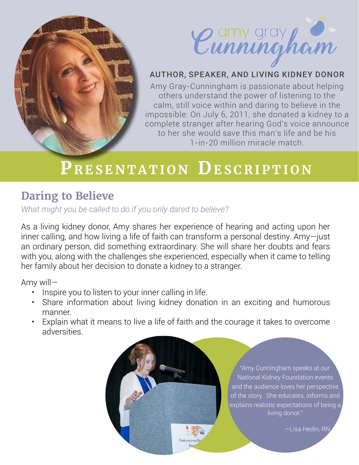



# AUTHOR, SPEAKER, AND LIVING KIDNEY DONOR

Amy Gray-Cunningham is passionate about helping others understand the power of listening to the calm, still voice within and daring to believe in the impossible. On July 6, 2011, she donated a kidney to a complete stranger after hearing God's voice announce to her she would save this man's life and be his 1-in-20 million miracle match.

# PRESENTATION DESCRIPTION

# **Daring to Believe**

*What might you be called to do if you only dared to believe?*

As a living kidney donor, Amy shares her experience of hearing and acting upon her inner calling, and how living a life of faith can transform a personal destiny. Amy—just an ordinary person, did something extraordinary. She will share her doubts and fears with you, along with the challenges she experienced, especially when it came to telling her family about her decision to donate a kidney to a stranger.

Amy will—

- Inspire you to listen to your inner calling in life.
- Share information about living kidney donation in an exciting and humorous manner.
- Explain what it means to live a life of faith and the courage it takes to overcome adversities.

Thank you to our Ho

"Amy Cunningham speaks at our National Kidney Foundation events and the audience loves her perspective of the story. She educates, informs and explains realistic expectations of being a living donor."

—Lisa Hedin, RN